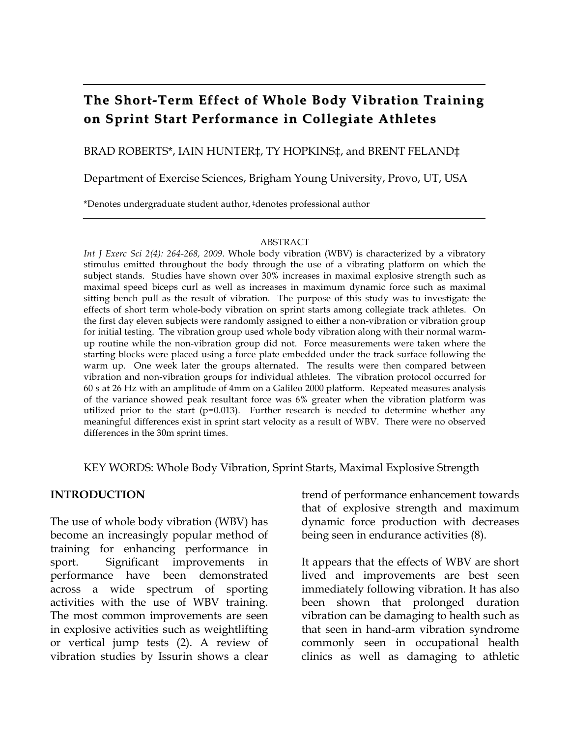# **The Short-Term Effect of Whole Body Vibration Training on Sprint Start Performance in Collegiate Athletes**

#### BRAD ROBERTS\*, IAIN HUNTER‡, TY HOPKINS‡, and BRENT FELAND‡

Department of Exercise Sciences, Brigham Young University, Provo, UT, USA

\*Denotes undergraduate student author, ‡denotes professional author

#### ABSTRACT

*Int J Exerc Sci 2(4): 264-268, 2009*. Whole body vibration (WBV) is characterized by a vibratory stimulus emitted throughout the body through the use of a vibrating platform on which the subject stands. Studies have shown over 30% increases in maximal explosive strength such as maximal speed biceps curl as well as increases in maximum dynamic force such as maximal sitting bench pull as the result of vibration. The purpose of this study was to investigate the effects of short term whole-body vibration on sprint starts among collegiate track athletes. On the first day eleven subjects were randomly assigned to either a non-vibration or vibration group for initial testing. The vibration group used whole body vibration along with their normal warmup routine while the non-vibration group did not. Force measurements were taken where the starting blocks were placed using a force plate embedded under the track surface following the warm up. One week later the groups alternated. The results were then compared between vibration and non-vibration groups for individual athletes. The vibration protocol occurred for 60 s at 26 Hz with an amplitude of 4mm on a Galileo 2000 platform. Repeated measures analysis of the variance showed peak resultant force was 6% greater when the vibration platform was utilized prior to the start  $(p=0.013)$ . Further research is needed to determine whether any meaningful differences exist in sprint start velocity as a result of WBV. There were no observed differences in the 30m sprint times.

KEY WORDS: Whole Body Vibration, Sprint Starts, Maximal Explosive Strength

#### **INTRODUCTION**

The use of whole body vibration (WBV) has become an increasingly popular method of training for enhancing performance in sport. Significant improvements in performance have been demonstrated across a wide spectrum of sporting activities with the use of WBV training. The most common improvements are seen in explosive activities such as weightlifting or vertical jump tests (2). A review of vibration studies by Issurin shows a clear

trend of performance enhancement towards that of explosive strength and maximum dynamic force production with decreases being seen in endurance activities (8).

It appears that the effects of WBV are short lived and improvements are best seen immediately following vibration. It has also been shown that prolonged duration vibration can be damaging to health such as that seen in hand-arm vibration syndrome commonly seen in occupational health clinics as well as damaging to athletic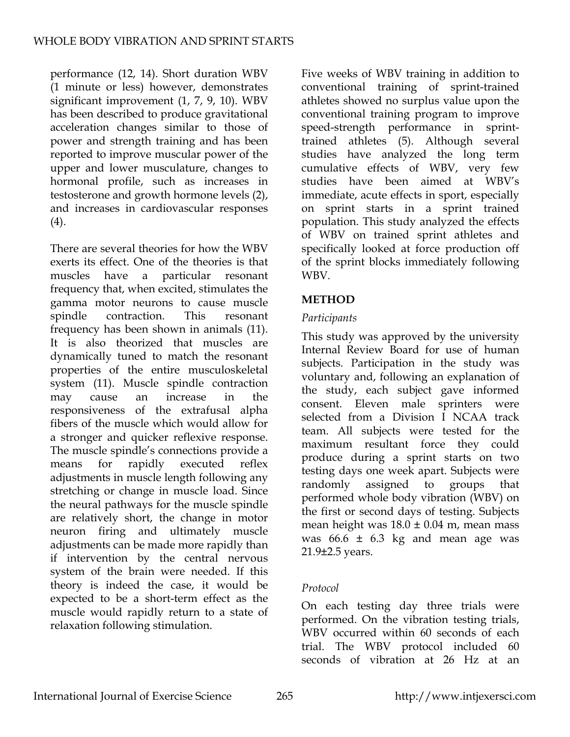performance (12, 14). Short duration WBV (1 minute or less) however, demonstrates significant improvement (1, 7, 9, 10). WBV has been described to produce gravitational acceleration changes similar to those of power and strength training and has been reported to improve muscular power of the upper and lower musculature, changes to hormonal profile, such as increases in testosterone and growth hormone levels (2), and increases in cardiovascular responses (4).

There are several theories for how the WBV exerts its effect. One of the theories is that muscles have a particular resonant frequency that, when excited, stimulates the gamma motor neurons to cause muscle spindle contraction. This resonant frequency has been shown in animals (11). It is also theorized that muscles are dynamically tuned to match the resonant properties of the entire musculoskeletal system (11). Muscle spindle contraction may cause an increase in the responsiveness of the extrafusal alpha fibers of the muscle which would allow for a stronger and quicker reflexive response. The muscle spindle's connections provide a means for rapidly executed reflex adjustments in muscle length following any stretching or change in muscle load. Since the neural pathways for the muscle spindle are relatively short, the change in motor neuron firing and ultimately muscle adjustments can be made more rapidly than if intervention by the central nervous system of the brain were needed. If this theory is indeed the case, it would be expected to be a short-term effect as the muscle would rapidly return to a state of relaxation following stimulation.

Five weeks of WBV training in addition to conventional training of sprint-trained athletes showed no surplus value upon the conventional training program to improve speed-strength performance in sprinttrained athletes (5). Although several studies have analyzed the long term cumulative effects of WBV, very few studies have been aimed at WBV's immediate, acute effects in sport, especially on sprint starts in a sprint trained population. This study analyzed the effects of WBV on trained sprint athletes and specifically looked at force production off of the sprint blocks immediately following WBV.

### **METHOD**

#### *Participants*

This study was approved by the university Internal Review Board for use of human subjects. Participation in the study was voluntary and, following an explanation of the study, each subject gave informed consent. Eleven male sprinters were selected from a Division I NCAA track team. All subjects were tested for the maximum resultant force they could produce during a sprint starts on two testing days one week apart. Subjects were randomly assigned to groups that performed whole body vibration (WBV) on the first or second days of testing. Subjects mean height was  $18.0 \pm 0.04$  m, mean mass was  $66.6 \pm 6.3$  kg and mean age was 21.9±2.5 years.

### *Protocol*

On each testing day three trials were performed. On the vibration testing trials, WBV occurred within 60 seconds of each trial. The WBV protocol included 60 seconds of vibration at 26 Hz at an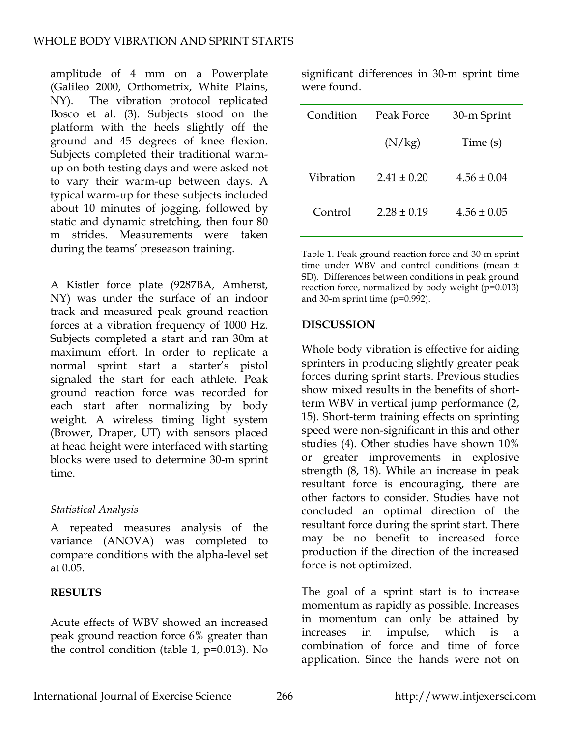amplitude of 4 mm on a Powerplate (Galileo 2000, Orthometrix, White Plains, NY). The vibration protocol replicated Bosco et al. (3). Subjects stood on the platform with the heels slightly off the ground and 45 degrees of knee flexion. Subjects completed their traditional warmup on both testing days and were asked not to vary their warm-up between days. A typical warm-up for these subjects included about 10 minutes of jogging, followed by static and dynamic stretching, then four 80 m strides. Measurements were taken during the teams' preseason training.

A Kistler force plate (9287BA, Amherst, NY) was under the surface of an indoor track and measured peak ground reaction forces at a vibration frequency of 1000 Hz. Subjects completed a start and ran 30m at maximum effort. In order to replicate a normal sprint start a starter's pistol signaled the start for each athlete. Peak ground reaction force was recorded for each start after normalizing by body weight. A wireless timing light system (Brower, Draper, UT) with sensors placed at head height were interfaced with starting blocks were used to determine 30-m sprint time.

### *Statistical Analysis*

A repeated measures analysis of the variance (ANOVA) was completed to compare conditions with the alpha-level set at 0.05.

## **RESULTS**

Acute effects of WBV showed an increased peak ground reaction force 6% greater than the control condition (table 1, p=0.013). No significant differences in 30-m sprint time were found.

| Condition | Peak Force    | 30-m Sprint     |
|-----------|---------------|-----------------|
|           | (N/kg)        | Time (s)        |
| Vibration | $2.41 + 0.20$ | $4.56 \pm 0.04$ |
| Control   | $2.28 + 0.19$ | $4.56 \pm 0.05$ |

Table 1. Peak ground reaction force and 30-m sprint time under WBV and control conditions (mean ± SD). Differences between conditions in peak ground reaction force, normalized by body weight (p=0.013) and 30-m sprint time (p=0.992).

## **DISCUSSION**

Whole body vibration is effective for aiding sprinters in producing slightly greater peak forces during sprint starts. Previous studies show mixed results in the benefits of shortterm WBV in vertical jump performance (2, 15). Short-term training effects on sprinting speed were non-significant in this and other studies (4). Other studies have shown 10% or greater improvements in explosive strength (8, 18). While an increase in peak resultant force is encouraging, there are other factors to consider. Studies have not concluded an optimal direction of the resultant force during the sprint start. There may be no benefit to increased force production if the direction of the increased force is not optimized.

The goal of a sprint start is to increase momentum as rapidly as possible. Increases in momentum can only be attained by increases in impulse, which is a combination of force and time of force application. Since the hands were not on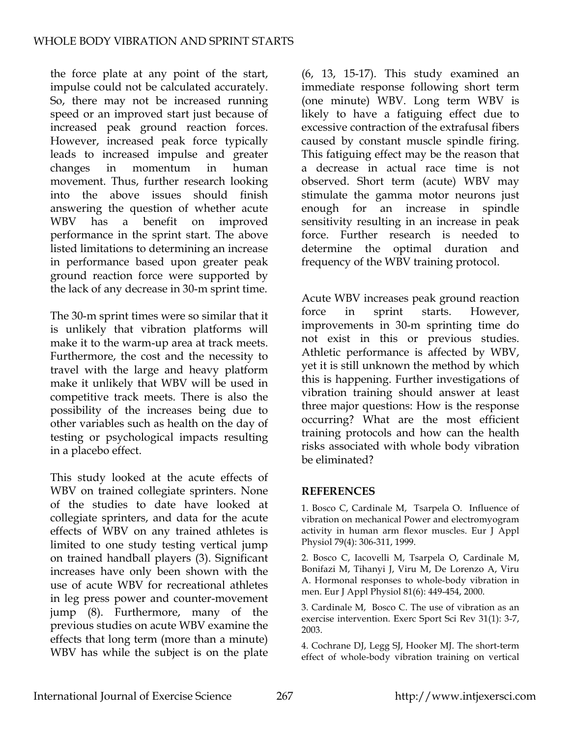the force plate at any point of the start, impulse could not be calculated accurately. So, there may not be increased running speed or an improved start just because of increased peak ground reaction forces. However, increased peak force typically leads to increased impulse and greater changes in momentum in human movement. Thus, further research looking into the above issues should finish answering the question of whether acute WBV has a benefit on improved performance in the sprint start. The above listed limitations to determining an increase in performance based upon greater peak ground reaction force were supported by the lack of any decrease in 30-m sprint time.

The 30-m sprint times were so similar that it is unlikely that vibration platforms will make it to the warm-up area at track meets. Furthermore, the cost and the necessity to travel with the large and heavy platform make it unlikely that WBV will be used in competitive track meets. There is also the possibility of the increases being due to other variables such as health on the day of testing or psychological impacts resulting in a placebo effect.

This study looked at the acute effects of WBV on trained collegiate sprinters. None of the studies to date have looked at collegiate sprinters, and data for the acute effects of WBV on any trained athletes is limited to one study testing vertical jump on trained handball players (3). Significant increases have only been shown with the use of acute WBV for recreational athletes in leg press power and counter-movement jump (8). Furthermore, many of the previous studies on acute WBV examine the effects that long term (more than a minute) WBV has while the subject is on the plate (6, 13, 15-17). This study examined an immediate response following short term (one minute) WBV. Long term WBV is likely to have a fatiguing effect due to excessive contraction of the extrafusal fibers caused by constant muscle spindle firing. This fatiguing effect may be the reason that a decrease in actual race time is not observed. Short term (acute) WBV may stimulate the gamma motor neurons just enough for an increase in spindle sensitivity resulting in an increase in peak force. Further research is needed to determine the optimal duration and frequency of the WBV training protocol.

Acute WBV increases peak ground reaction force in sprint starts. However, improvements in 30-m sprinting time do not exist in this or previous studies. Athletic performance is affected by WBV, yet it is still unknown the method by which this is happening. Further investigations of vibration training should answer at least three major questions: How is the response occurring? What are the most efficient training protocols and how can the health risks associated with whole body vibration be eliminated?

#### **REFERENCES**

1. Bosco C, Cardinale M, Tsarpela O. Influence of vibration on mechanical Power and electromyogram activity in human arm flexor muscles. Eur J Appl Physiol 79(4): 306-311, 1999.

2. Bosco C, Iacovelli M, Tsarpela O, Cardinale M, Bonifazi M, Tihanyi J, Viru M, De Lorenzo A, Viru A. Hormonal responses to whole-body vibration in men. Eur J Appl Physiol 81(6): 449-454, 2000.

3. Cardinale M, Bosco C. The use of vibration as an exercise intervention. Exerc Sport Sci Rev 31(1): 3-7, 2003.

4. Cochrane DJ, Legg SJ, Hooker MJ. The short-term effect of whole-body vibration training on vertical